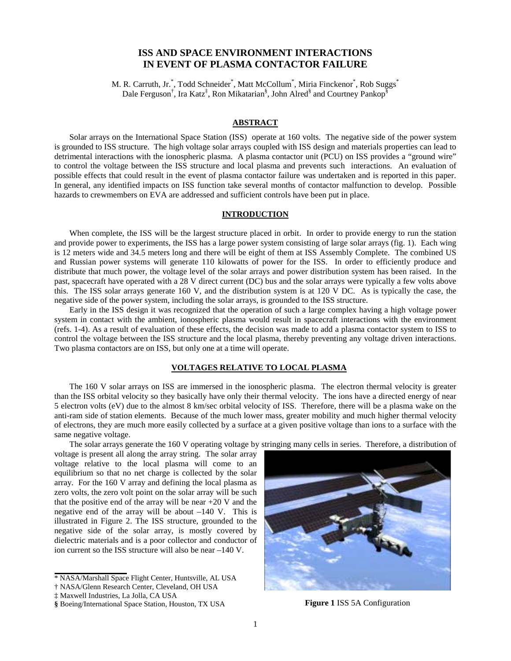# **ISS AND SPACE ENVIRONMENT INTERACTIONS IN EVENT OF PLASMA CONTACTOR FAILURE**

M. R. Carruth, Jr.\*, Todd Schneider\*, Matt McCollum\*, Miria Finckenor\*, Rob Suggs\* Dale Ferguson<sup>†</sup>, Ira Katz<sup>‡</sup>, Ron Mikatarian<sup>§</sup>, John Alred<sup>§</sup> and Courtney Pankop<sup>§</sup>

### **ABSTRACT**

Solar arrays on the International Space Station (ISS) operate at 160 volts. The negative side of the power system is grounded to ISS structure. The high voltage solar arrays coupled with ISS design and materials properties can lead to detrimental interactions with the ionospheric plasma. A plasma contactor unit (PCU) on ISS provides a "ground wire" to control the voltage between the ISS structure and local plasma and prevents such interactions. An evaluation of possible effects that could result in the event of plasma contactor failure was undertaken and is reported in this paper. In general, any identified impacts on ISS function take several months of contactor malfunction to develop. Possible hazards to crewmembers on EVA are addressed and sufficient controls have been put in place.

#### **INTRODUCTION**

When complete, the ISS will be the largest structure placed in orbit. In order to provide energy to run the station and provide power to experiments, the ISS has a large power system consisting of large solar arrays (fig. 1). Each wing is 12 meters wide and 34.5 meters long and there will be eight of them at ISS Assembly Complete. The combined US and Russian power systems will generate 110 kilowatts of power for the ISS. In order to efficiently produce and distribute that much power, the voltage level of the solar arrays and power distribution system has been raised. In the past, spacecraft have operated with a 28 V direct current (DC) bus and the solar arrays were typically a few volts above this. The ISS solar arrays generate 160 V, and the distribution system is at 120 V DC. As is typically the case, the negative side of the power system, including the solar arrays, is grounded to the ISS structure.

Early in the ISS design it was recognized that the operation of such a large complex having a high voltage power system in contact with the ambient, ionospheric plasma would result in spacecraft interactions with the environment (refs. 1-4). As a result of evaluation of these effects, the decision was made to add a plasma contactor system to ISS to control the voltage between the ISS structure and the local plasma, thereby preventing any voltage driven interactions. Two plasma contactors are on ISS, but only one at a time will operate.

# **VOLTAGES RELATIVE TO LOCAL PLASMA**

The 160 V solar arrays on ISS are immersed in the ionospheric plasma. The electron thermal velocity is greater than the ISS orbital velocity so they basically have only their thermal velocity. The ions have a directed energy of near 5 electron volts (eV) due to the almost 8 km/sec orbital velocity of ISS. Therefore, there will be a plasma wake on the anti-ram side of station elements. Because of the much lower mass, greater mobility and much higher thermal velocity of electrons, they are much more easily collected by a surface at a given positive voltage than ions to a surface with the same negative voltage.

The solar arrays generate the 160 V operating voltage by stringing many cells in series. Therefore, a distribution of

voltage is present all along the array string. The solar array voltage relative to the local plasma will come to an equilibrium so that no net charge is collected by the solar array. For the 160 V array and defining the local plasma as zero volts, the zero volt point on the solar array will be such that the positive end of the array will be near  $+20$  V and the negative end of the array will be about  $-140$  V. This is illustrated in Figure 2. The ISS structure, grounded to the negative side of the solar array, is mostly covered by dielectric materials and is a poor collector and conductor of ion current so the ISS structure will also be near –140 V.

**<sup>§</sup>** Boeing/International Space Station, Houston, TX USA **Figure 1** ISS 5A Configuration



<sup>\*</sup> NASA/Marshall Space Flight Center, Huntsville, AL USA

<sup>†</sup> NASA/Glenn Research Center, Cleveland, OH USA

<sup>‡</sup> Maxwell Industries, La Jolla, CA USA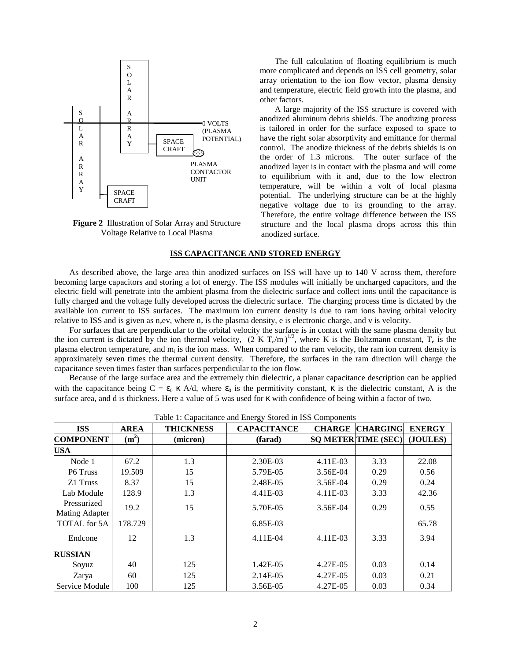

**Figure 2** Illustration of Solar Array and Structure Voltage Relative to Local Plasma

The full calculation of floating equilibrium is much more complicated and depends on ISS cell geometry, solar array orientation to the ion flow vector, plasma density and temperature, electric field growth into the plasma, and other factors.

A large majority of the ISS structure is covered with anodized aluminum debris shields. The anodizing process is tailored in order for the surface exposed to space to have the right solar absorptivity and emittance for thermal control. The anodize thickness of the debris shields is on the order of 1.3 microns. The outer surface of the anodized layer is in contact with the plasma and will come to equilibrium with it and, due to the low electron temperature, will be within a volt of local plasma potential. The underlying structure can be at the highly negative voltage due to its grounding to the array. Therefore, the entire voltage difference between the ISS structure and the local plasma drops across this thin anodized surface.

# **ISS CAPACITANCE AND STORED ENERGY**

As described above, the large area thin anodized surfaces on ISS will have up to 140 V across them, therefore becoming large capacitors and storing a lot of energy. The ISS modules will initially be uncharged capacitors, and the electric field will penetrate into the ambient plasma from the dielectric surface and collect ions until the capacitance is fully charged and the voltage fully developed across the dielectric surface. The charging process time is dictated by the available ion current to ISS surfaces. The maximum ion current density is due to ram ions having orbital velocity relative to ISS and is given as  $n_e$ ev, where  $n_e$  is the plasma density, e is electronic charge, and v is velocity.

For surfaces that are perpendicular to the orbital velocity the surface is in contact with the same plasma density but the ion current is dictated by the ion thermal velocity,  $(2 K T_e/m_i)^{1/2}$ , where K is the Boltzmann constant,  $T_e$  is the plasma electron temperature, and m<sub>i</sub> is the ion mass. When compared to the ram velocity, the ram ion current density is approximately seven times the thermal current density. Therefore, the surfaces in the ram direction will charge the capacitance seven times faster than surfaces perpendicular to the ion flow.

Because of the large surface area and the extremely thin dielectric, a planar capacitance description can be applied with the capacitance being  $C = \varepsilon_0 \kappa A/d$ , where  $\varepsilon_0$  is the permitivity constant,  $\kappa$  is the dielectric constant, A is the surface area, and d is thickness. Here a value of 5 was used for κ with confidence of being within a factor of two.

| <b>ISS</b>                           | <b>AREA</b>       | <b>THICKNESS</b> | <b>CAPACITANCE</b> |            | <b>CHARGE CHARGING</b>     | <b>ENERGY</b> |
|--------------------------------------|-------------------|------------------|--------------------|------------|----------------------------|---------------|
| <b>COMPONENT</b>                     | (m <sup>2</sup> ) | (micron)         | (farad)            |            | <b>SO METER TIME (SEC)</b> | (JOULES)      |
| <b>USA</b>                           |                   |                  |                    |            |                            |               |
| Node 1                               | 67.2              | 1.3              | 2.30E-03           | 4.11E-03   | 3.33                       | 22.08         |
| P6 Truss                             | 19.509            | 15               | 5.79E-05           | 3.56E-04   | 0.29                       | 0.56          |
| Z1 Truss                             | 8.37              | 15               | 2.48E-05           | 3.56E-04   | 0.29                       | 0.24          |
| Lab Module                           | 128.9             | 1.3              | 4.41E-03           | $4.11E-03$ | 3.33                       | 42.36         |
| Pressurized<br><b>Mating Adapter</b> | 19.2              | 15               | 5.70E-05           | 3.56E-04   | 0.29                       | 0.55          |
| TOTAL for 5A                         | 178.729           |                  | 6.85E-03           |            |                            | 65.78         |
| Endcone                              | 12                | 1.3              | $4.11E-04$         | $4.11E-03$ | 3.33                       | 3.94          |
| <b>RUSSIAN</b>                       |                   |                  |                    |            |                            |               |
| Soyuz                                | 40                | 125              | 1.42E-05           | 4.27E-05   | 0.03                       | 0.14          |
| Zarya                                | 60                | 125              | 2.14E-05           | 4.27E-05   | 0.03                       | 0.21          |
| Service Module                       | 100               | 125              | 3.56E-05           | 4.27E-05   | 0.03                       | 0.34          |

Table 1: Capacitance and Energy Stored in ISS Components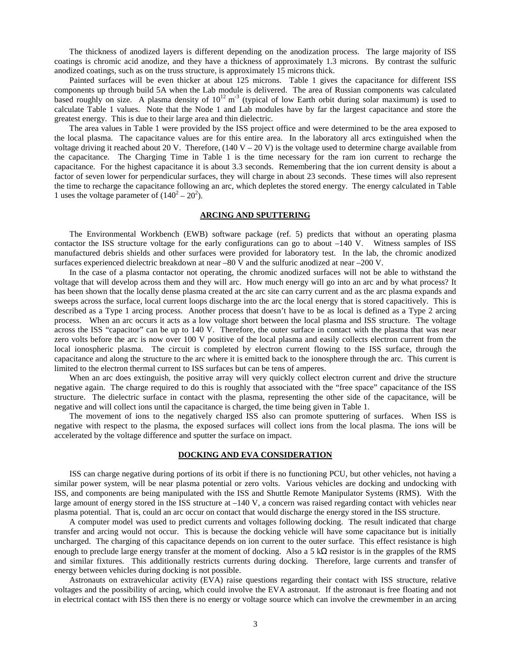The thickness of anodized layers is different depending on the anodization process. The large majority of ISS coatings is chromic acid anodize, and they have a thickness of approximately 1.3 microns. By contrast the sulfuric anodized coatings, such as on the truss structure, is approximately 15 microns thick.

Painted surfaces will be even thicker at about 125 microns. Table 1 gives the capacitance for different ISS components up through build 5A when the Lab module is delivered. The area of Russian components was calculated based roughly on size. A plasma density of  $10^{12}$  m<sup>-3</sup> (typical of low Earth orbit during solar maximum) is used to calculate Table 1 values. Note that the Node 1 and Lab modules have by far the largest capacitance and store the greatest energy. This is due to their large area and thin dielectric.

The area values in Table 1 were provided by the ISS project office and were determined to be the area exposed to the local plasma. The capacitance values are for this entire area. In the laboratory all arcs extinguished when the voltage driving it reached about 20 V. Therefore,  $(140 V - 20 V)$  is the voltage used to determine charge available from the capacitance. The Charging Time in Table 1 is the time necessary for the ram ion current to recharge the capacitance. For the highest capacitance it is about 3.3 seconds. Remembering that the ion current density is about a factor of seven lower for perpendicular surfaces, they will charge in about 23 seconds. These times will also represent the time to recharge the capacitance following an arc, which depletes the stored energy. The energy calculated in Table 1 uses the voltage parameter of  $(140^2 – 20^2)$ .

# **ARCING AND SPUTTERING**

The Environmental Workbench (EWB) software package (ref. 5) predicts that without an operating plasma contactor the ISS structure voltage for the early configurations can go to about –140 V. Witness samples of ISS manufactured debris shields and other surfaces were provided for laboratory test. In the lab, the chromic anodized surfaces experienced dielectric breakdown at near –80 V and the sulfuric anodized at near –200 V.

In the case of a plasma contactor not operating, the chromic anodized surfaces will not be able to withstand the voltage that will develop across them and they will arc. How much energy will go into an arc and by what process? It has been shown that the locally dense plasma created at the arc site can carry current and as the arc plasma expands and sweeps across the surface, local current loops discharge into the arc the local energy that is stored capacitively. This is described as a Type 1 arcing process. Another process that doesn't have to be as local is defined as a Type 2 arcing process. When an arc occurs it acts as a low voltage short between the local plasma and ISS structure. The voltage across the ISS "capacitor" can be up to 140 V. Therefore, the outer surface in contact with the plasma that was near zero volts before the arc is now over 100 V positive of the local plasma and easily collects electron current from the local ionospheric plasma. The circuit is completed by electron current flowing to the ISS surface, through the capacitance and along the structure to the arc where it is emitted back to the ionosphere through the arc. This current is limited to the electron thermal current to ISS surfaces but can be tens of amperes.

When an arc does extinguish, the positive array will very quickly collect electron current and drive the structure negative again. The charge required to do this is roughly that associated with the "free space" capacitance of the ISS structure. The dielectric surface in contact with the plasma, representing the other side of the capacitance, will be negative and will collect ions until the capacitance is charged, the time being given in Table 1.

The movement of ions to the negatively charged ISS also can promote sputtering of surfaces. When ISS is negative with respect to the plasma, the exposed surfaces will collect ions from the local plasma. The ions will be accelerated by the voltage difference and sputter the surface on impact.

### **DOCKING AND EVA CONSIDERATION**

ISS can charge negative during portions of its orbit if there is no functioning PCU, but other vehicles, not having a similar power system, will be near plasma potential or zero volts. Various vehicles are docking and undocking with ISS, and components are being manipulated with the ISS and Shuttle Remote Manipulator Systems (RMS). With the large amount of energy stored in the ISS structure at –140 V, a concern was raised regarding contact with vehicles near plasma potential. That is, could an arc occur on contact that would discharge the energy stored in the ISS structure.

A computer model was used to predict currents and voltages following docking. The result indicated that charge transfer and arcing would not occur. This is because the docking vehicle will have some capacitance but is initially uncharged. The charging of this capacitance depends on ion current to the outer surface. This effect resistance is high enough to preclude large energy transfer at the moment of docking. Also a 5 k $\Omega$  resistor is in the grapples of the RMS and similar fixtures. This additionally restricts currents during docking. Therefore, large currents and transfer of energy between vehicles during docking is not possible.

Astronauts on extravehicular activity (EVA) raise questions regarding their contact with ISS structure, relative voltages and the possibility of arcing, which could involve the EVA astronaut. If the astronaut is free floating and not in electrical contact with ISS then there is no energy or voltage source which can involve the crewmember in an arcing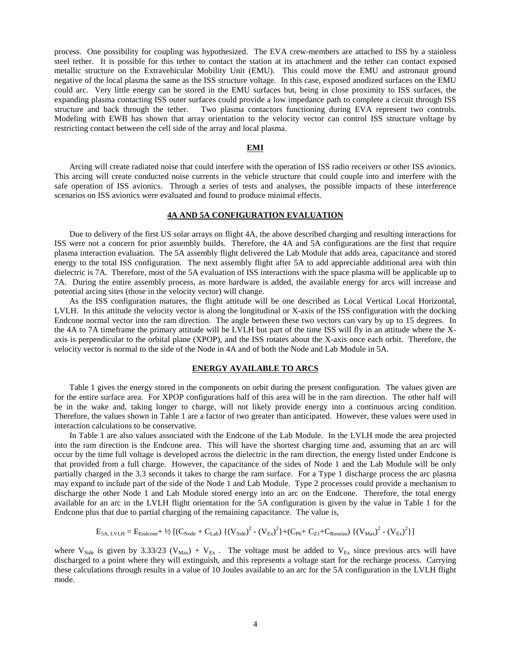process. One possibility for coupling was hypothesized. The EVA crew-members are attached to ISS by a stainless steel tether. It is possible for this tether to contact the station at its attachment and the tether can contact exposed metallic structure on the Extravehicular Mobility Unit (EMU). This could move the EMU and astronaut ground negative of the local plasma the same as the ISS structure voltage. In this case, exposed anodized surfaces on the EMU could arc. Very little energy can be stored in the EMU surfaces but, being in close proximity to ISS surfaces, the expanding plasma contacting ISS outer surfaces could provide a low impedance path to complete a circuit through ISS structure and back through the tether. Two plasma contactors functioning during EVA represent two controls. Modeling with EWB has shown that array orientation to the velocity vector can control ISS structure voltage by restricting contact between the cell side of the array and local plasma.

## **EMI**

Arcing will create radiated noise that could interfere with the operation of ISS radio receivers or other ISS avionics. This arcing will create conducted noise currents in the vehicle structure that could couple into and interfere with the safe operation of ISS avionics. Through a series of tests and analyses, the possible impacts of these interference scenarios on ISS avionics were evaluated and found to produce minimal effects.

# **4A AND 5A CONFIGURATION EVALUATION**

Due to delivery of the first US solar arrays on flight 4A, the above described charging and resulting interactions for ISS were not a concern for prior assembly builds. Therefore, the 4A and 5A configurations are the first that require plasma interaction evaluation. The 5A assembly flight delivered the Lab Module that adds area, capacitance and stored energy to the total ISS configuration. The next assembly flight after 5A to add appreciable additional area with thin dielectric is 7A. Therefore, most of the 5A evaluation of ISS interactions with the space plasma will be applicable up to 7A. During the entire assembly process, as more hardware is added, the available energy for arcs will increase and potential arcing sites (those in the velocity vector) will change.

As the ISS configuration matures, the flight attitude will be one described as Local Vertical Local Horizontal, LVLH. In this attitude the velocity vector is along the longitudinal or X-axis of the ISS configuration with the docking Endcone normal vector into the ram direction. The angle between these two vectors can vary by up to 15 degrees. In the 4A to 7A timeframe the primary attitude will be LVLH but part of the time ISS will fly in an attitude where the Xaxis is perpendicular to the orbital plane (XPOP), and the ISS rotates about the X-axis once each orbit. Therefore, the velocity vector is normal to the side of the Node in 4A and of both the Node and Lab Module in 5A.

#### **ENERGY AVAILABLE TO ARCS**

Table 1 gives the energy stored in the components on orbit during the present configuration. The values given are for the entire surface area. For XPOP configurations half of this area will be in the ram direction. The other half will be in the wake and, taking longer to charge, will not likely provide energy into a continuous arcing condition. Therefore, the values shown in Table 1 are a factor of two greater than anticipated. However, these values were used in interaction calculations to be conservative.

In Table 1 are also values associated with the Endcone of the Lab Module. In the LVLH mode the area projected into the ram direction is the Endcone area. This will have the shortest charging time and, assuming that an arc will occur by the time full voltage is developed across the dielectric in the ram direction, the energy listed under Endcone is that provided from a full charge. However, the capacitance of the sides of Node 1 and the Lab Module will be only partially charged in the 3.3 seconds it takes to charge the ram surface. For a Type 1 discharge process the arc plasma may expand to include part of the side of the Node 1 and Lab Module. Type 2 processes could provide a mechanism to discharge the other Node 1 and Lab Module stored energy into an arc on the Endcone. Therefore, the total energy available for an arc in the LVLH flight orientation for the 5A configuration is given by the value in Table 1 for the Endcone plus that due to partial charging of the remaining capacitance. The value is,

$$
E_{5A,\ LVLH} = E_{Endcone} + \frac{1}{2} \left[ (C_{Node} + C_{Lab}) \{ (V_{Side})^2 - (V_{Ex})^2 \} + (C_{P6} + C_{Z1} + C_{Russian}) \{ (V_{Max})^2 - (V_{Ex})^2 \} \right]
$$

where V<sub>Side</sub> is given by 3.33/23 (V<sub>Max</sub>) + V<sub>Ex</sub>. The voltage must be added to V<sub>Ex</sub> since previous arcs will have discharged to a point where they will extinguish, and this represents a voltage start for the recharge process. Carrying these calculations through results in a value of 10 Joules available to an arc for the 5A configuration in the LVLH flight mode.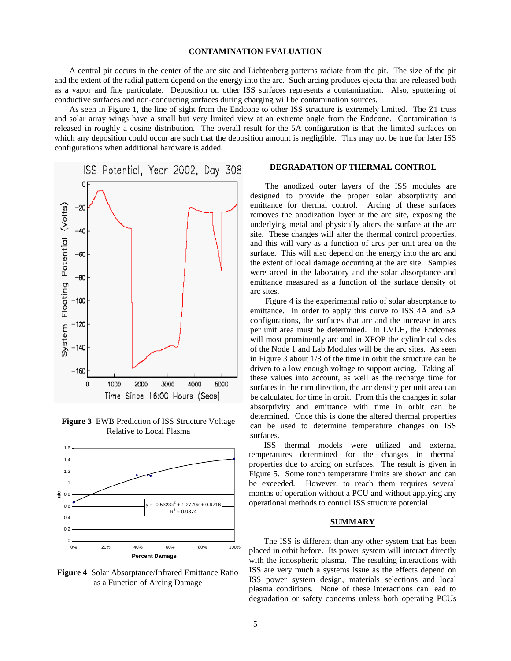#### **CONTAMINATION EVALUATION**

A central pit occurs in the center of the arc site and Lichtenberg patterns radiate from the pit. The size of the pit and the extent of the radial pattern depend on the energy into the arc. Such arcing produces ejecta that are released both as a vapor and fine particulate. Deposition on other ISS surfaces represents a contamination. Also, sputtering of conductive surfaces and non-conducting surfaces during charging will be contamination sources.

As seen in Figure 1, the line of sight from the Endcone to other ISS structure is extremely limited. The Z1 truss and solar array wings have a small but very limited view at an extreme angle from the Endcone. Contamination is released in roughly a cosine distribution. The overall result for the 5A configuration is that the limited surfaces on which any deposition could occur are such that the deposition amount is negligible. This may not be true for later ISS configurations when additional hardware is added.



**Figure 3** EWB Prediction of ISS Structure Voltage Relative to Local Plasma



**Figure 4** Solar Absorptance/Infrared Emittance Ratio as a Function of Arcing Damage

### **DEGRADATION OF THERMAL CONTROL**

The anodized outer layers of the ISS modules are designed to provide the proper solar absorptivity and emittance for thermal control. Arcing of these surfaces removes the anodization layer at the arc site, exposing the underlying metal and physically alters the surface at the arc site. These changes will alter the thermal control properties, and this will vary as a function of arcs per unit area on the surface. This will also depend on the energy into the arc and the extent of local damage occurring at the arc site. Samples were arced in the laboratory and the solar absorptance and emittance measured as a function of the surface density of arc sites.

Figure 4 is the experimental ratio of solar absorptance to emittance. In order to apply this curve to ISS 4A and 5A configurations, the surfaces that arc and the increase in arcs per unit area must be determined. In LVLH, the Endcones will most prominently arc and in XPOP the cylindrical sides of the Node 1 and Lab Modules will be the arc sites. As seen in Figure 3 about 1/3 of the time in orbit the structure can be driven to a low enough voltage to support arcing. Taking all these values into account, as well as the recharge time for surfaces in the ram direction, the arc density per unit area can be calculated for time in orbit. From this the changes in solar absorptivity and emittance with time in orbit can be determined. Once this is done the altered thermal properties can be used to determine temperature changes on ISS surfaces.

ISS thermal models were utilized and external temperatures determined for the changes in thermal properties due to arcing on surfaces. The result is given in Figure 5. Some touch temperature limits are shown and can be exceeded. However, to reach them requires several months of operation without a PCU and without applying any operational methods to control ISS structure potential.

#### **SUMMARY**

The ISS is different than any other system that has been placed in orbit before. Its power system will interact directly with the ionospheric plasma. The resulting interactions with ISS are very much a systems issue as the effects depend on ISS power system design, materials selections and local plasma conditions. None of these interactions can lead to degradation or safety concerns unless both operating PCUs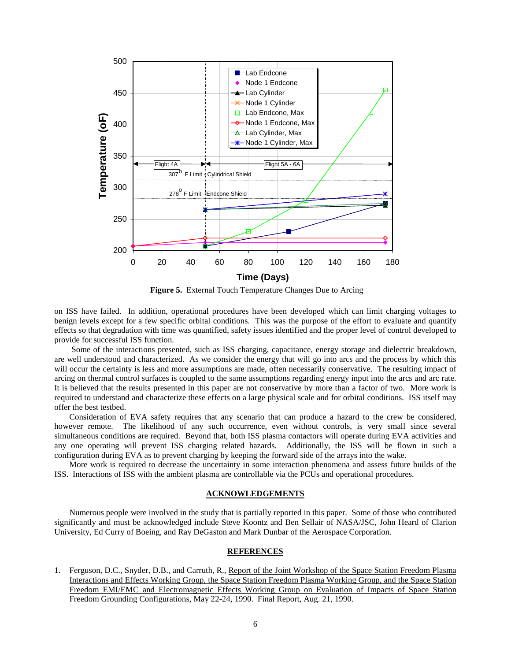

**Figure 5.** External Touch Temperature Changes Due to Arcing

on ISS have failed. In addition, operational procedures have been developed which can limit charging voltages to benign levels except for a few specific orbital conditions. This was the purpose of the effort to evaluate and quantify effects so that degradation with time was quantified, safety issues identified and the proper level of control developed to provide for successful ISS function.

 Some of the interactions presented, such as ISS charging, capacitance, energy storage and dielectric breakdown, are well understood and characterized. As we consider the energy that will go into arcs and the process by which this will occur the certainty is less and more assumptions are made, often necessarily conservative. The resulting impact of arcing on thermal control surfaces is coupled to the same assumptions regarding energy input into the arcs and arc rate. It is believed that the results presented in this paper are not conservative by more than a factor of two. More work is required to understand and characterize these effects on a large physical scale and for orbital conditions. ISS itself may offer the best testbed.

Consideration of EVA safety requires that any scenario that can produce a hazard to the crew be considered, however remote. The likelihood of any such occurrence, even without controls, is very small since several simultaneous conditions are required. Beyond that, both ISS plasma contactors will operate during EVA activities and any one operating will prevent ISS charging related hazards. Additionally, the ISS will be flown in such a configuration during EVA as to prevent charging by keeping the forward side of the arrays into the wake.

More work is required to decrease the uncertainty in some interaction phenomena and assess future builds of the ISS. Interactions of ISS with the ambient plasma are controllable via the PCUs and operational procedures.

### **ACKNOWLEDGEMENTS**

Numerous people were involved in the study that is partially reported in this paper. Some of those who contributed significantly and must be acknowledged include Steve Koontz and Ben Sellair of NASA/JSC, John Heard of Clarion University, Ed Curry of Boeing, and Ray DeGaston and Mark Dunbar of the Aerospace Corporation.

### **REFERENCES**

1. Ferguson, D.C., Snyder, D.B., and Carruth, R., Report of the Joint Workshop of the Space Station Freedom Plasma Interactions and Effects Working Group, the Space Station Freedom Plasma Working Group, and the Space Station Freedom EMI/EMC and Electromagnetic Effects Working Group on Evaluation of Impacts of Space Station Freedom Grounding Configurations, May 22-24, 1990. Final Report, Aug. 21, 1990.